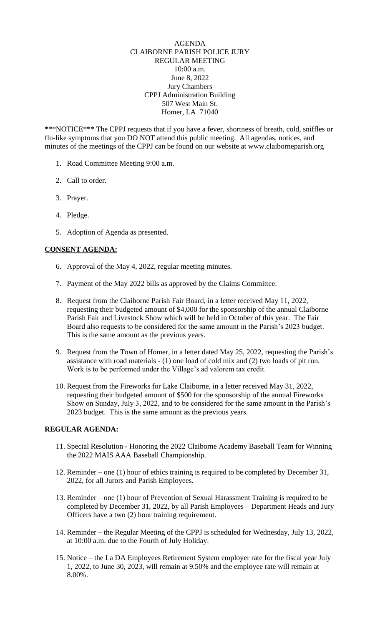## AGENDA CLAIBORNE PARISH POLICE JURY REGULAR MEETING 10:00 a.m. June 8, 2022 Jury Chambers CPPJ Administration Building 507 West Main St. Homer, LA 71040

\*\*\*NOTICE\*\*\* The CPPJ requests that if you have a fever, shortness of breath, cold, sniffles or flu-like symptoms that you DO NOT attend this public meeting. All agendas, notices, and minutes of the meetings of the CPPJ can be found on our website at www.claiborneparish.org

- 1. Road Committee Meeting 9:00 a.m.
- 2. Call to order.
- 3. Prayer.
- 4. Pledge.
- 5. Adoption of Agenda as presented.

## **CONSENT AGENDA:**

- 6. Approval of the May 4, 2022, regular meeting minutes.
- 7. Payment of the May 2022 bills as approved by the Claims Committee.
- 8. Request from the Claiborne Parish Fair Board, in a letter received May 11, 2022, requesting their budgeted amount of \$4,000 for the sponsorship of the annual Claiborne Parish Fair and Livestock Show which will be held in October of this year. The Fair Board also requests to be considered for the same amount in the Parish's 2023 budget. This is the same amount as the previous years.
- 9. Request from the Town of Homer, in a letter dated May 25, 2022, requesting the Parish's assistance with road materials - (1) one load of cold mix and (2) two loads of pit run. Work is to be performed under the Village's ad valorem tax credit.
- 10. Request from the Fireworks for Lake Claiborne, in a letter received May 31, 2022, requesting their budgeted amount of \$500 for the sponsorship of the annual Fireworks Show on Sunday, July 3, 2022, and to be considered for the same amount in the Parish's 2023 budget. This is the same amount as the previous years.

## **REGULAR AGENDA:**

- 11. Special Resolution Honoring the 2022 Claiborne Academy Baseball Team for Winning the 2022 MAIS AAA Baseball Championship.
- 12. Reminder one (1) hour of ethics training is required to be completed by December 31, 2022, for all Jurors and Parish Employees.
- 13. Reminder one (1) hour of Prevention of Sexual Harassment Training is required to be completed by December 31, 2022, by all Parish Employees – Department Heads and Jury Officers have a two (2) hour training requirement.
- 14. Reminder the Regular Meeting of the CPPJ is scheduled for Wednesday, July 13, 2022, at 10:00 a.m. due to the Fourth of July Holiday.
- 15. Notice the La DA Employees Retirement System employer rate for the fiscal year July 1, 2022, to June 30, 2023, will remain at 9.50% and the employee rate will remain at 8.00%.